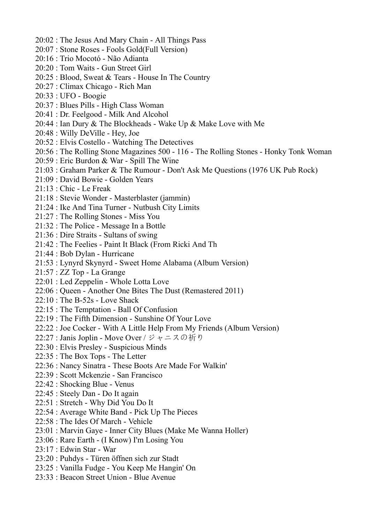- 20:02 : The Jesus And Mary Chain All Things Pass
- 20:07 : Stone Roses Fools Gold(Full Version)
- 20:16 : Trio Mocotó Não Adianta
- 20:20 : Tom Waits Gun Street Girl
- 20:25 : Blood, Sweat & Tears House In The Country
- 20:27 : Climax Chicago Rich Man
- 20:33 : UFO Boogie
- 20:37 : Blues Pills High Class Woman
- 20:41 : Dr. Feelgood Milk And Alcohol
- 20:44 : Ian Dury & The Blockheads Wake Up & Make Love with Me
- 20:48 : Willy DeVille Hey, Joe
- 20:52 : Elvis Costello Watching The Detectives
- 20:56 : The Rolling Stone Magazines 500 116 The Rolling Stones Honky Tonk Woman
- 20:59 : Eric Burdon & War Spill The Wine
- 21:03 : Graham Parker & The Rumour Don't Ask Me Questions (1976 UK Pub Rock)
- 21:09 : David Bowie Golden Years
- 21:13 : Chic Le Freak
- 21:18 : Stevie Wonder Masterblaster (jammin)
- 21:24 : Ike And Tina Turner Nutbush City Limits
- 21:27 : The Rolling Stones Miss You
- 21:32 : The Police Message In a Bottle
- 21:36 : Dire Straits Sultans of swing
- 21:42 : The Feelies Paint It Black (From Ricki And Th
- 21:44 : Bob Dylan Hurricane
- 21:53 : Lynyrd Skynyrd Sweet Home Alabama (Album Version)
- 21:57 : ZZ Top La Grange
- 22:01 : Led Zeppelin Whole Lotta Love
- 22:06 : Queen Another One Bites The Dust (Remastered 2011)
- 22:10 : The B-52s Love Shack
- 22:15 : The Temptation Ball Of Confusion
- 22:19 : The Fifth Dimension Sunshine Of Your Love
- 22:22 : Joe Cocker With A Little Help From My Friends (Album Version)
- 22:27 : Janis Joplin Move Over / ジャニスの祈り
- 22:30 : Elvis Presley Suspicious Minds
- 22:35 : The Box Tops The Letter
- 22:36 : Nancy Sinatra These Boots Are Made For Walkin'
- 22:39 : Scott Mckenzie San Francisco
- 22:42 : Shocking Blue Venus
- 22:45 : Steely Dan Do It again
- 22:51 : Stretch Why Did You Do It
- 22:54 : Average White Band Pick Up The Pieces
- 22:58 : The Ides Of March Vehicle
- 23:01 : Marvin Gaye Inner City Blues (Make Me Wanna Holler)
- 23:06 : Rare Earth (I Know) I'm Losing You
- 23:17 : Edwin Star War
- 23:20 : Puhdys Türen öffnen sich zur Stadt
- 23:25 : Vanilla Fudge You Keep Me Hangin' On
- 23:33 : Beacon Street Union Blue Avenue